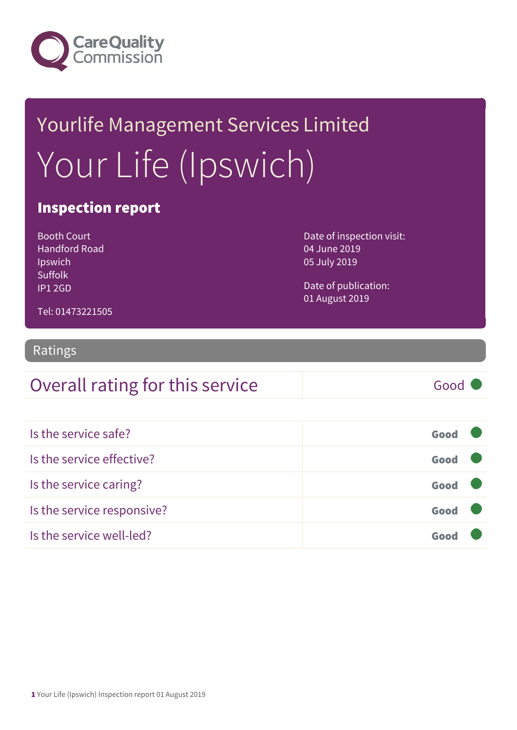

# Yourlife Management Services Limited Your Life (Ipswich)

### Inspection report

Booth Court Handford Road Ipswich Suffolk IP1 2GD

Date of inspection visit: 04 June 2019 05 July 2019

Date of publication: 01 August 2019

Tel: 01473221505

### Ratings

### Overall rating for this service Good

| Is the service safe?       | Good |
|----------------------------|------|
| Is the service effective?  | Good |
| Is the service caring?     | Good |
| Is the service responsive? | Good |
| Is the service well-led?   | Gnn  |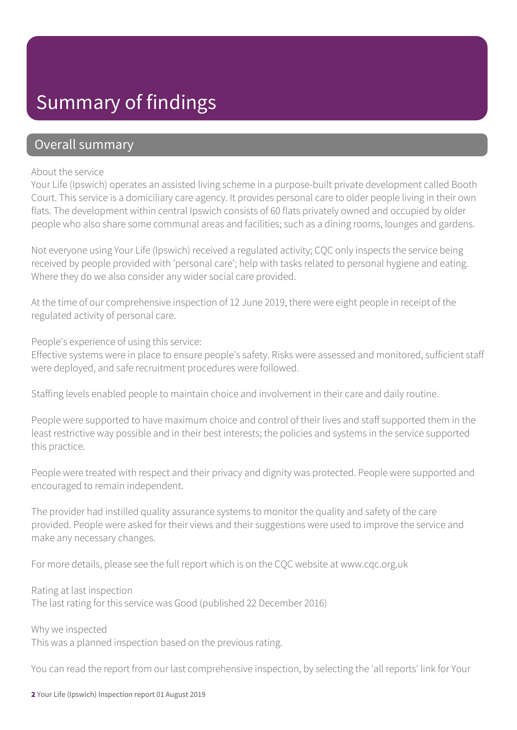### Summary of findings

### Overall summary

#### About the service

Your Life (Ipswich) operates an assisted living scheme in a purpose-built private development called Booth Court. This service is a domiciliary care agency. It provides personal care to older people living in their own flats. The development within central Ipswich consists of 60 flats privately owned and occupied by older people who also share some communal areas and facilities; such as a dining rooms, lounges and gardens.

Not everyone using Your Life (Ipswich) received a regulated activity; CQC only inspects the service being received by people provided with 'personal care'; help with tasks related to personal hygiene and eating. Where they do we also consider any wider social care provided.

At the time of our comprehensive inspection of 12 June 2019, there were eight people in receipt of the regulated activity of personal care.

People's experience of using this service:

Effective systems were in place to ensure people's safety. Risks were assessed and monitored, sufficient staff were deployed, and safe recruitment procedures were followed.

Staffing levels enabled people to maintain choice and involvement in their care and daily routine.

People were supported to have maximum choice and control of their lives and staff supported them in the least restrictive way possible and in their best interests; the policies and systems in the service supported this practice.

People were treated with respect and their privacy and dignity was protected. People were supported and encouraged to remain independent.

The provider had instilled quality assurance systems to monitor the quality and safety of the care provided. People were asked for their views and their suggestions were used to improve the service and make any necessary changes.

For more details, please see the full report which is on the CQC website at www.cqc.org.uk

Rating at last inspection The last rating for this service was Good (published 22 December 2016)

Why we inspected This was a planned inspection based on the previous rating.

You can read the report from our last comprehensive inspection, by selecting the 'all reports' link for Your

2 Your Life (Ipswich) Inspection report 01 August 2019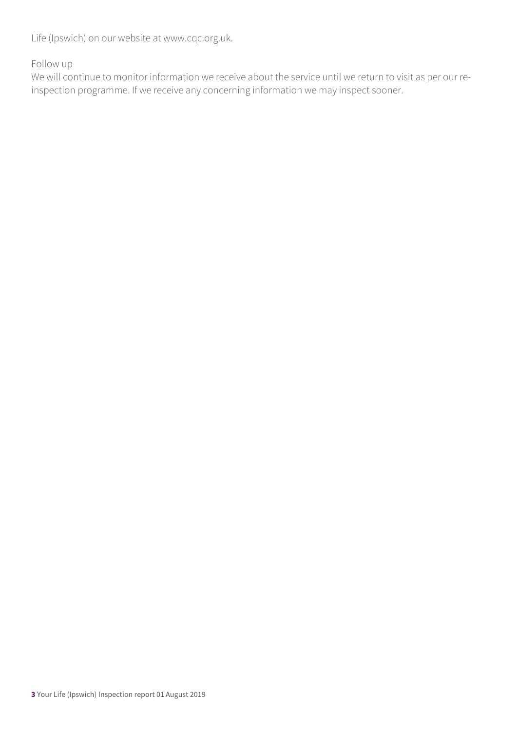Life (Ipswich) on our website at www.cqc.org.uk.

Follow up

We will continue to monitor information we receive about the service until we return to visit as per our reinspection programme. If we receive any concerning information we may inspect sooner.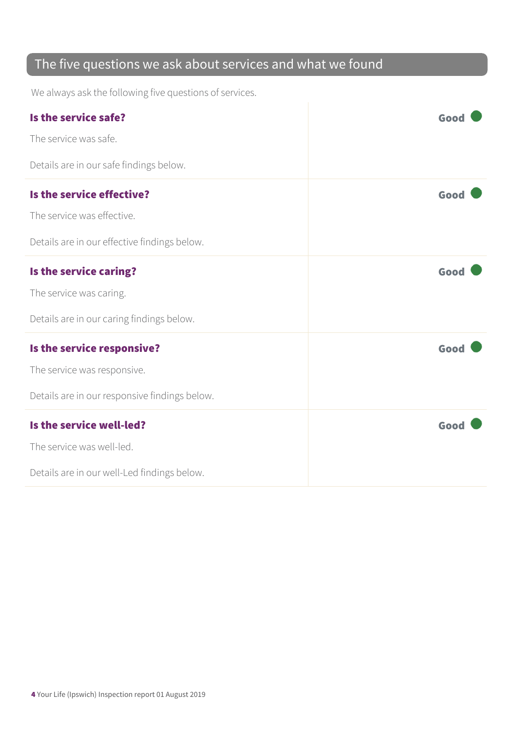### The five questions we ask about services and what we found

We always ask the following five questions of services.

| Is the service safe?                          | Good |
|-----------------------------------------------|------|
| The service was safe.                         |      |
| Details are in our safe findings below.       |      |
| Is the service effective?                     | Good |
| The service was effective.                    |      |
| Details are in our effective findings below.  |      |
| Is the service caring?                        | Good |
| The service was caring.                       |      |
| Details are in our caring findings below.     |      |
| Is the service responsive?                    | Good |
| The service was responsive.                   |      |
| Details are in our responsive findings below. |      |
| Is the service well-led?                      | Good |
| The service was well-led.                     |      |
| Details are in our well-Led findings below.   |      |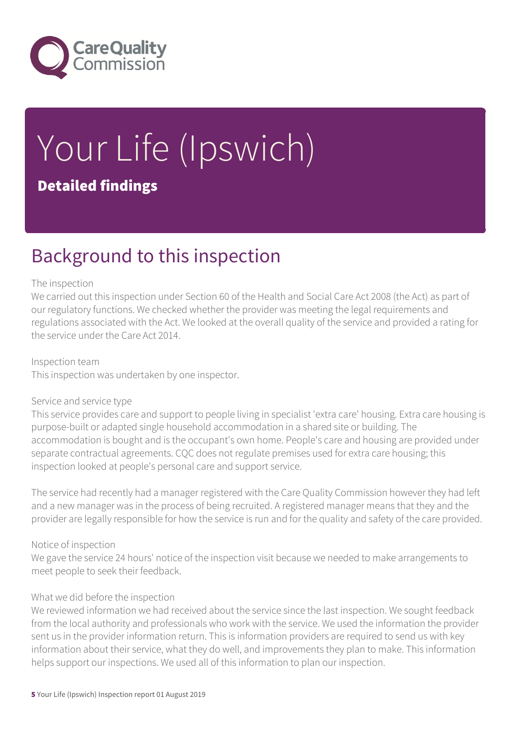

# Your Life (Ipswich) Detailed findings

### Background to this inspection

#### The inspection

We carried out this inspection under Section 60 of the Health and Social Care Act 2008 (the Act) as part of our regulatory functions. We checked whether the provider was meeting the legal requirements and regulations associated with the Act. We looked at the overall quality of the service and provided a rating for the service under the Care Act 2014.

Inspection team This inspection was undertaken by one inspector.

#### Service and service type

This service provides care and support to people living in specialist 'extra care' housing. Extra care housing is purpose-built or adapted single household accommodation in a shared site or building. The accommodation is bought and is the occupant's own home. People's care and housing are provided under separate contractual agreements. CQC does not regulate premises used for extra care housing; this inspection looked at people's personal care and support service.

The service had recently had a manager registered with the Care Quality Commission however they had left and a new manager was in the process of being recruited. A registered manager means that they and the provider are legally responsible for how the service is run and for the quality and safety of the care provided.

#### Notice of inspection

We gave the service 24 hours' notice of the inspection visit because we needed to make arrangements to meet people to seek their feedback.

#### What we did before the inspection

We reviewed information we had received about the service since the last inspection. We sought feedback from the local authority and professionals who work with the service. We used the information the provider sent us in the provider information return. This is information providers are required to send us with key information about their service, what they do well, and improvements they plan to make. This information helps support our inspections. We used all of this information to plan our inspection.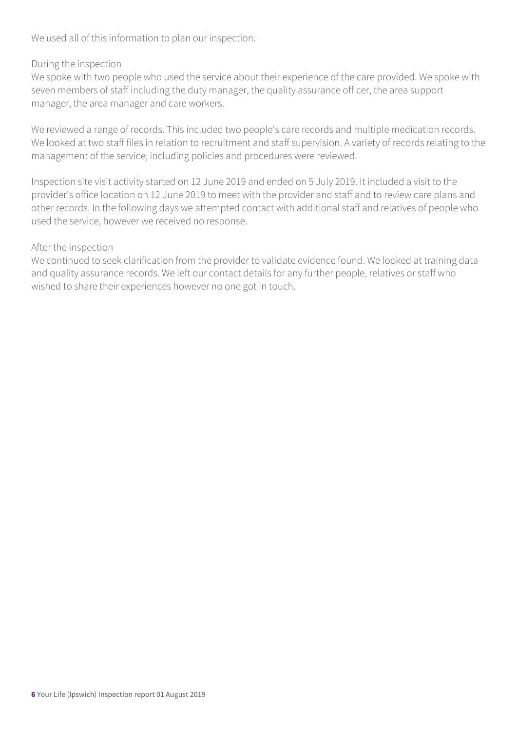We used all of this information to plan our inspection.

#### During the inspection

We spoke with two people who used the service about their experience of the care provided. We spoke with seven members of staff including the duty manager, the quality assurance officer, the area support manager, the area manager and care workers.

We reviewed a range of records. This included two people's care records and multiple medication records. We looked at two staff files in relation to recruitment and staff supervision. A variety of records relating to the management of the service, including policies and procedures were reviewed.

Inspection site visit activity started on 12 June 2019 and ended on 5 July 2019. It included a visit to the provider's office location on 12 June 2019 to meet with the provider and staff and to review care plans and other records. In the following days we attempted contact with additional staff and relatives of people who used the service, however we received no response.

#### After the inspection

We continued to seek clarification from the provider to validate evidence found. We looked at training data and quality assurance records. We left our contact details for any further people, relatives or staff who wished to share their experiences however no one got in touch.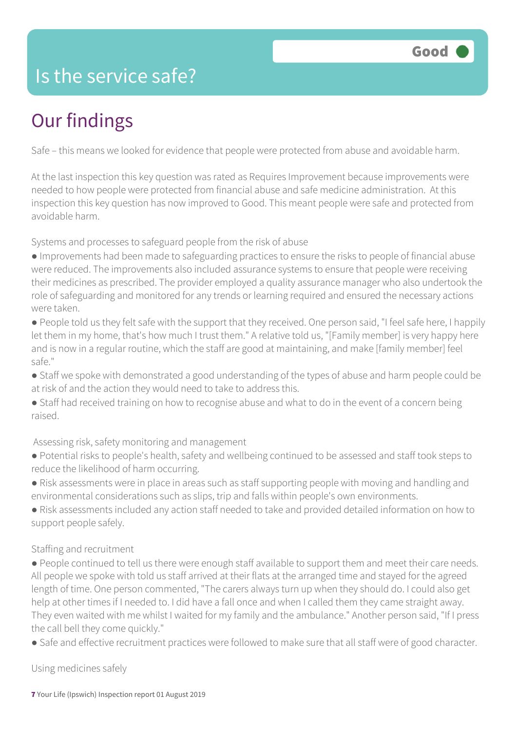### Is the service safe?

# Our findings

Safe – this means we looked for evidence that people were protected from abuse and avoidable harm.

At the last inspection this key question was rated as Requires Improvement because improvements were needed to how people were protected from financial abuse and safe medicine administration. At this inspection this key question has now improved to Good. This meant people were safe and protected from avoidable harm.

Systems and processes to safeguard people from the risk of abuse

- Improvements had been made to safeguarding practices to ensure the risks to people of financial abuse were reduced. The improvements also included assurance systems to ensure that people were receiving their medicines as prescribed. The provider employed a quality assurance manager who also undertook the role of safeguarding and monitored for any trends or learning required and ensured the necessary actions were taken.
- People told us they felt safe with the support that they received. One person said, "I feel safe here, I happily let them in my home, that's how much I trust them." A relative told us, "[Family member] is very happy here and is now in a regular routine, which the staff are good at maintaining, and make [family member] feel safe."
- Staff we spoke with demonstrated a good understanding of the types of abuse and harm people could be at risk of and the action they would need to take to address this.
- Staff had received training on how to recognise abuse and what to do in the event of a concern being raised.

#### Assessing risk, safety monitoring and management

- Potential risks to people's health, safety and wellbeing continued to be assessed and staff took steps to reduce the likelihood of harm occurring.
- Risk assessments were in place in areas such as staff supporting people with moving and handling and environmental considerations such as slips, trip and falls within people's own environments.
- Risk assessments included any action staff needed to take and provided detailed information on how to support people safely.

#### Staffing and recruitment

- People continued to tell us there were enough staff available to support them and meet their care needs. All people we spoke with told us staff arrived at their flats at the arranged time and stayed for the agreed length of time. One person commented, "The carers always turn up when they should do. I could also get help at other times if I needed to. I did have a fall once and when I called them they came straight away. They even waited with me whilst I waited for my family and the ambulance." Another person said, "If I press the call bell they come quickly."
- Safe and effective recruitment practices were followed to make sure that all staff were of good character.

Using medicines safely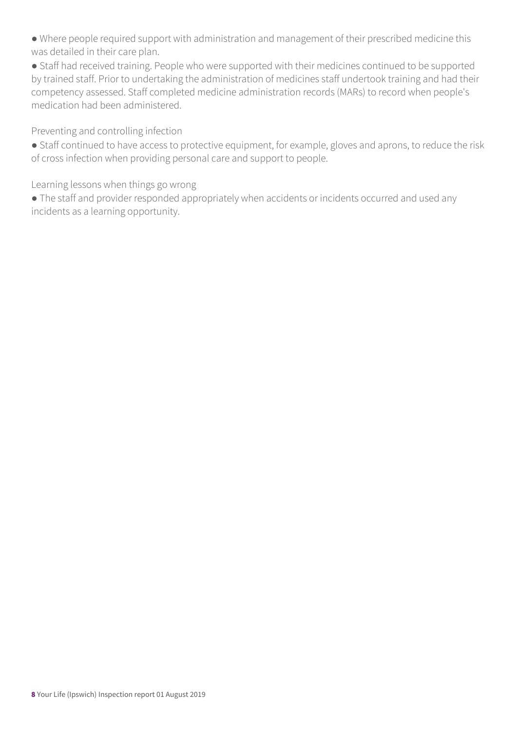● Where people required support with administration and management of their prescribed medicine this was detailed in their care plan.

● Staff had received training. People who were supported with their medicines continued to be supported by trained staff. Prior to undertaking the administration of medicines staff undertook training and had their competency assessed. Staff completed medicine administration records (MARs) to record when people's medication had been administered.

Preventing and controlling infection

● Staff continued to have access to protective equipment, for example, gloves and aprons, to reduce the risk of cross infection when providing personal care and support to people.

Learning lessons when things go wrong

● The staff and provider responded appropriately when accidents or incidents occurred and used any incidents as a learning opportunity.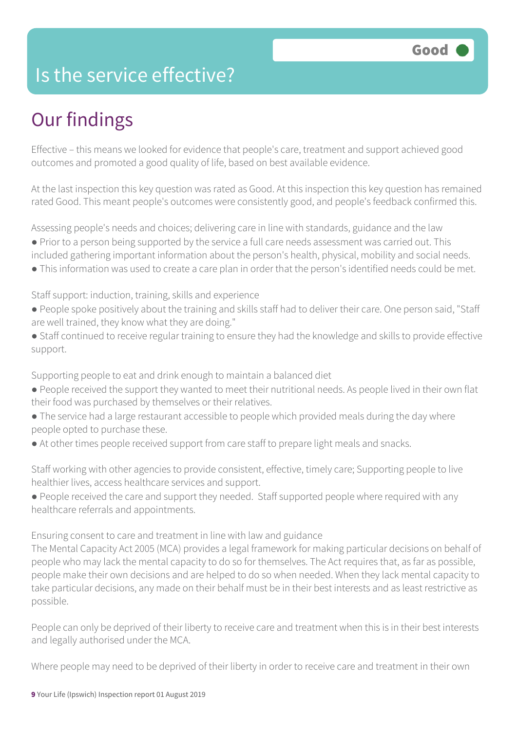### Is the service effective?

## Our findings

Effective – this means we looked for evidence that people's care, treatment and support achieved good outcomes and promoted a good quality of life, based on best available evidence.

At the last inspection this key question was rated as Good. At this inspection this key question has remained rated Good. This meant people's outcomes were consistently good, and people's feedback confirmed this.

Assessing people's needs and choices; delivering care in line with standards, guidance and the law

- Prior to a person being supported by the service a full care needs assessment was carried out. This included gathering important information about the person's health, physical, mobility and social needs.
- This information was used to create a care plan in order that the person's identified needs could be met.

Staff support: induction, training, skills and experience

- People spoke positively about the training and skills staff had to deliver their care. One person said, "Staff are well trained, they know what they are doing."
- Staff continued to receive regular training to ensure they had the knowledge and skills to provide effective support.

Supporting people to eat and drink enough to maintain a balanced diet

- People received the support they wanted to meet their nutritional needs. As people lived in their own flat their food was purchased by themselves or their relatives.
- The service had a large restaurant accessible to people which provided meals during the day where people opted to purchase these.
- At other times people received support from care staff to prepare light meals and snacks.

Staff working with other agencies to provide consistent, effective, timely care; Supporting people to live healthier lives, access healthcare services and support.

● People received the care and support they needed. Staff supported people where required with any healthcare referrals and appointments.

Ensuring consent to care and treatment in line with law and guidance

The Mental Capacity Act 2005 (MCA) provides a legal framework for making particular decisions on behalf of people who may lack the mental capacity to do so for themselves. The Act requires that, as far as possible, people make their own decisions and are helped to do so when needed. When they lack mental capacity to take particular decisions, any made on their behalf must be in their best interests and as least restrictive as possible.

People can only be deprived of their liberty to receive care and treatment when this is in their best interests and legally authorised under the MCA.

Where people may need to be deprived of their liberty in order to receive care and treatment in their own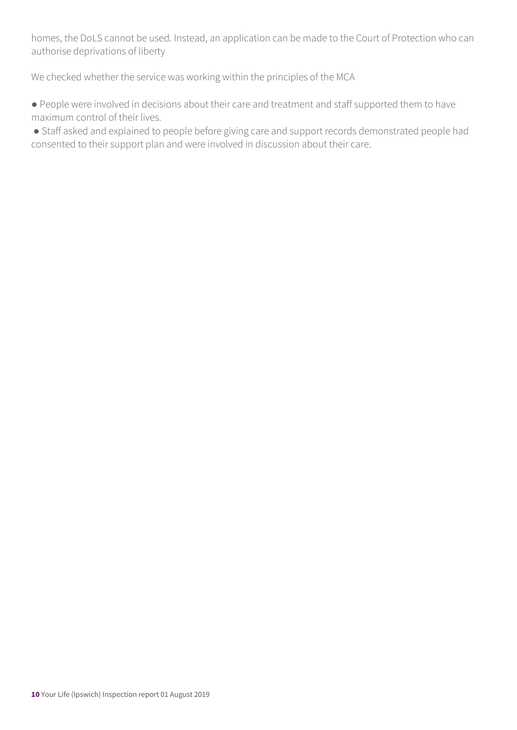homes, the DoLS cannot be used. Instead, an application can be made to the Court of Protection who can authorise deprivations of liberty

We checked whether the service was working within the principles of the MCA

● People were involved in decisions about their care and treatment and staff supported them to have maximum control of their lives.

● Staff asked and explained to people before giving care and support records demonstrated people had consented to their support plan and were involved in discussion about their care.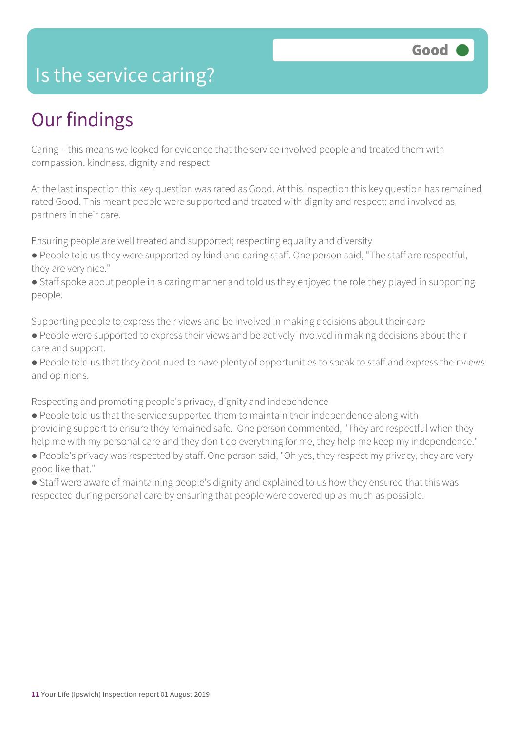### Is the service caring?

### Our findings

Caring – this means we looked for evidence that the service involved people and treated them with compassion, kindness, dignity and respect

At the last inspection this key question was rated as Good. At this inspection this key question has remained rated Good. This meant people were supported and treated with dignity and respect; and involved as partners in their care.

Ensuring people are well treated and supported; respecting equality and diversity

- People told us they were supported by kind and caring staff. One person said, "The staff are respectful, they are very nice."
- Staff spoke about people in a caring manner and told us they enjoyed the role they played in supporting people.

Supporting people to express their views and be involved in making decisions about their care

- People were supported to express their views and be actively involved in making decisions about their care and support.
- People told us that they continued to have plenty of opportunities to speak to staff and express their views and opinions.

Respecting and promoting people's privacy, dignity and independence

- People told us that the service supported them to maintain their independence along with providing support to ensure they remained safe. One person commented, "They are respectful when they help me with my personal care and they don't do everything for me, they help me keep my independence."
- People's privacy was respected by staff. One person said, "Oh yes, they respect my privacy, they are very good like that."
- Staff were aware of maintaining people's dignity and explained to us how they ensured that this was respected during personal care by ensuring that people were covered up as much as possible.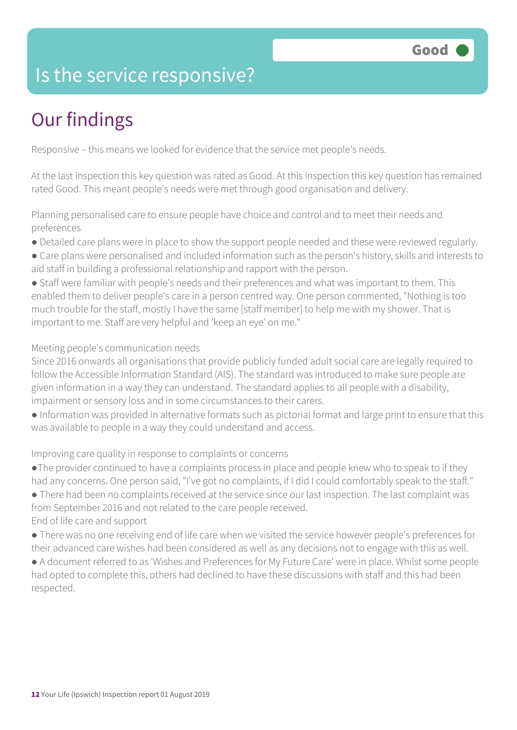### Is the service responsive?

# Our findings

Responsive – this means we looked for evidence that the service met people's needs.

At the last inspection this key question was rated as Good. At this inspection this key question has remained rated Good. This meant people's needs were met through good organisation and delivery.

Planning personalised care to ensure people have choice and control and to meet their needs and preferences

- Detailed care plans were in place to show the support people needed and these were reviewed regularly.
- Care plans were personalised and included information such as the person's history, skills and interests to aid staff in building a professional relationship and rapport with the person.

• Staff were familiar with people's needs and their preferences and what was important to them. This enabled them to deliver people's care in a person centred way. One person commented, "Nothing is too much trouble for the staff, mostly I have the same [staff member] to help me with my shower. That is important to me. Staff are very helpful and 'keep an eye' on me."

#### Meeting people's communication needs

Since 2016 onwards all organisations that provide publicly funded adult social care are legally required to follow the Accessible Information Standard (AIS). The standard was introduced to make sure people are given information in a way they can understand. The standard applies to all people with a disability, impairment or sensory loss and in some circumstances to their carers.

● Information was provided in alternative formats such as pictorial format and large print to ensure that this was available to people in a way they could understand and access.

Improving care quality in response to complaints or concerns

●The provider continued to have a complaints process in place and people knew who to speak to if they had any concerns. One person said, "I've got no complaints, if I did I could comfortably speak to the staff."

● There had been no complaints received at the service since our last inspection. The last complaint was from September 2016 and not related to the care people received. End of life care and support

● There was no one receiving end of life care when we visited the service however people's preferences for their advanced care wishes had been considered as well as any decisions not to engage with this as well.

● A document referred to as 'Wishes and Preferences for My Future Care' were in place. Whilst some people had opted to complete this, others had declined to have these discussions with staff and this had been respected.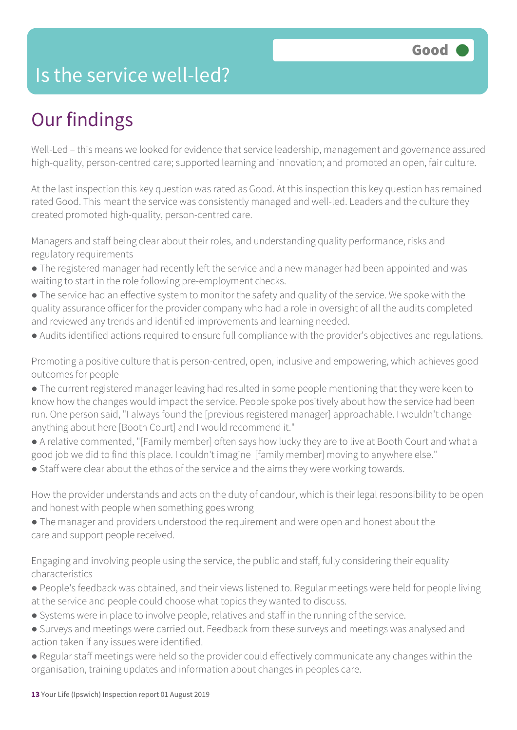### Is the service well-led?

# Our findings

Well-Led – this means we looked for evidence that service leadership, management and governance assured high-quality, person-centred care; supported learning and innovation; and promoted an open, fair culture.

At the last inspection this key question was rated as Good. At this inspection this key question has remained rated Good. This meant the service was consistently managed and well-led. Leaders and the culture they created promoted high-quality, person-centred care.

Managers and staff being clear about their roles, and understanding quality performance, risks and regulatory requirements

- The registered manager had recently left the service and a new manager had been appointed and was waiting to start in the role following pre-employment checks.
- The service had an effective system to monitor the safety and quality of the service. We spoke with the quality assurance officer for the provider company who had a role in oversight of all the audits completed and reviewed any trends and identified improvements and learning needed.
- Audits identified actions required to ensure full compliance with the provider's objectives and regulations.

Promoting a positive culture that is person-centred, open, inclusive and empowering, which achieves good outcomes for people

- The current registered manager leaving had resulted in some people mentioning that they were keen to know how the changes would impact the service. People spoke positively about how the service had been run. One person said, "I always found the [previous registered manager] approachable. I wouldn't change anything about here [Booth Court] and I would recommend it."
- A relative commented, "[Family member] often says how lucky they are to live at Booth Court and what a good job we did to find this place. I couldn't imagine [family member] moving to anywhere else."
- Staff were clear about the ethos of the service and the aims they were working towards.

How the provider understands and acts on the duty of candour, which is their legal responsibility to be open and honest with people when something goes wrong

● The manager and providers understood the requirement and were open and honest about the care and support people received.

Engaging and involving people using the service, the public and staff, fully considering their equality characteristics

- People's feedback was obtained, and their views listened to. Regular meetings were held for people living at the service and people could choose what topics they wanted to discuss.
- Systems were in place to involve people, relatives and staff in the running of the service.
- Surveys and meetings were carried out. Feedback from these surveys and meetings was analysed and action taken if any issues were identified.
- Regular staff meetings were held so the provider could effectively communicate any changes within the organisation, training updates and information about changes in peoples care.